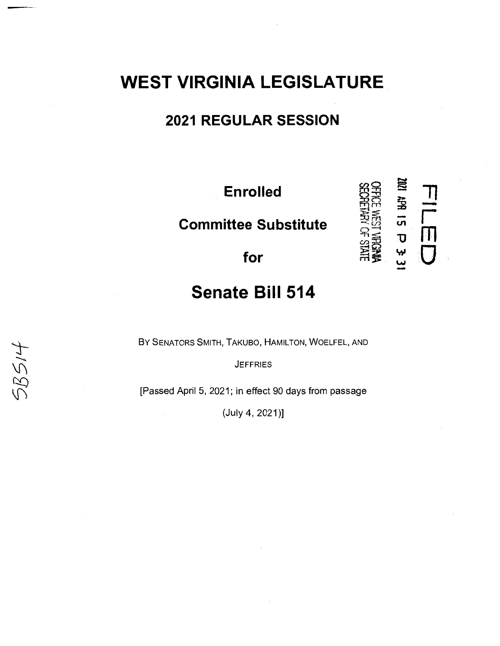# **WEST VIRGINIA LEGISLATURE**

### **2021 REGULAR SESSION**

**Enrolled** 

 $Committee$  Substitute

†rolled<br>e Substitute<br>-- a Substitute<br>-- For<br>-- for ~ - 71 ;g - **U1** r **-0** m **w w** 0 -

## **Senate Bill 514**

BY SENATORS SMITH, TAKUBO, HAMILTON, WOELFEL, AND

**JEFFRIES** 

 $58514$ 

[Passed April 5, 2021; in effect 90 days from passage

 $(July 4, 2021)]$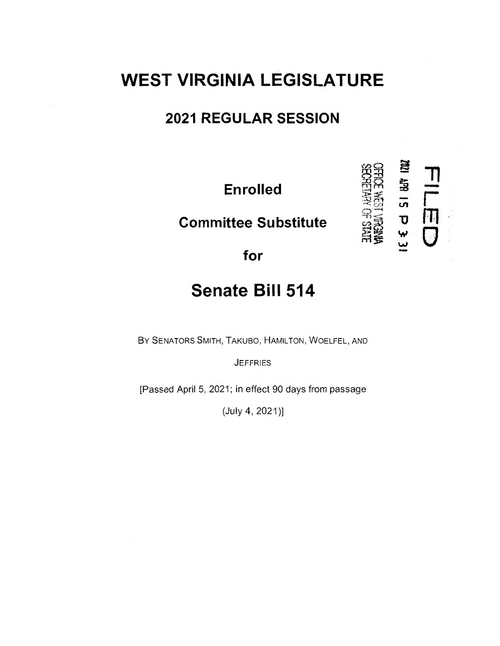# **WEST VIRGINIA LEGISLATURE**

### **2021 REGULAR SESSION**

**Enrolled** 

**Committee Substitute** 

。<br>. T **STARS TO YOURS** s<br>**1**<br>**1**<br>**1** 

rn

 $\cup$ 

**for** 

# **Senate Bill 514**

BY SENATORS SMITH, TAKUBO, HAMILTON, WOELFEL, AND

**JEFFRIES** 

[Passed April 5, 2021; in effect 90 days from passage

 $(July 4, 2021)]$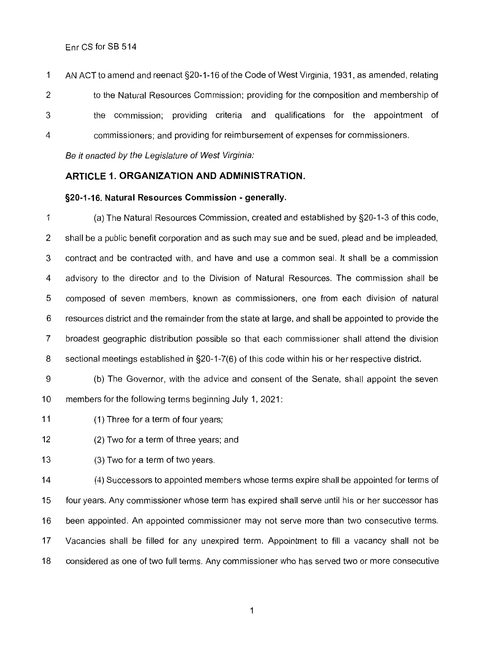Enr CS for SB 514

1 AN ACT to amend and reenact §20-1-16 of the Code of West Virginia, 1931, as amended, relating 2 to the Natural Resources Commission; providing for the composition and membership of 3 the commission; providing criteria and qualifications for the appointment of 4 commissioners; and providing for reimbursement of expenses for commissioners.

Be it enacted by the Legislature of West Virginia:

#### **ARTICLE 1. ORGANIZATION AND ADMINISTRATION.**

#### **§20-1-16. Natural Resources Commission - generally.**

1 (a) The Natural Resources Commission, created and established by §20-1-3 of this code, 2 shall be a public benefit corporation and as such may sue and be sued, plead and be impleaded, 3 contract and be contracted with, and have and use a common seal. It shall be a commission 4 advisory to the director and to the Division of Natural Resources. The commission shall be 5 composed of seven members, known as commissioners, one from each division of natural 6 resources district and the remainder from the state at large, and shall be appointed to provide the 7 broadest geographic distribution possible so that each commissioner shall attend the division 8 sectional meetings established in §20-1-7(6) of this code within his or her respective district.

9 (b) The Governor, with the advice and consent of the Senate, shall appoint the seven 10 members for the following terms beginning July 1, 2021:

11 (1) Three for a term of four years;

12 (2) Two for a term of three years; and

13 (3) Two for a term of two years.

14 (4) Successors to appointed members whose terms expire shall be appointed for terms of 15 four years. Any commissioner whose term has expired shall serve until his or her successor has 16 been appointed. An appointed commissioner may not serve more than two consecutive terms. 17 Vacancies shall be filled for any unexpired term. Appointment to fill a vacancy shall not be 18 considered as one of two full terms. Any commissioner who has served two or more consecutive

1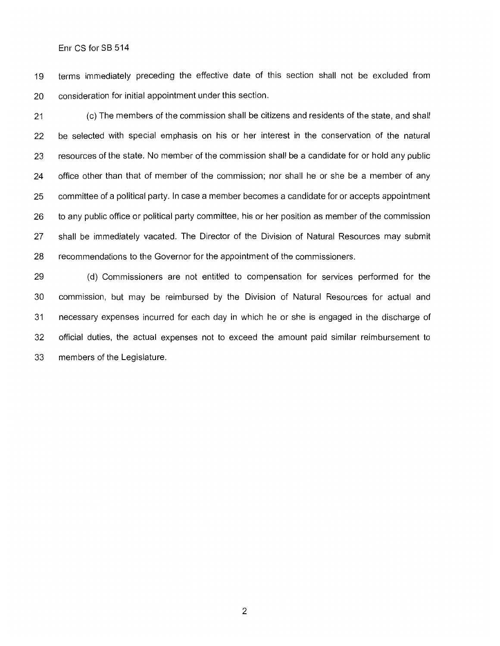Enr CS for SB 514

19 terms immediately preceding the effective date of this section shall not be excluded from 20 consideration for initial appointment under this section.

21 (c) The members of the commission shall be citizens and residents of the state, and shall 22 be selected with special emphasis on his or her interest in the conservation of the natural 23 resources of the state. No member of the commission shall be a candidate for or hold any public 24 office other than that of member of the commission; nor shall he or she be a member of any 25 committee of a political party. In case a member becomes a candidate for or accepts appointment 26 to any public office or political party committee, his or her position as member of the commission 27 shall be immediately vacated. The Director of the Division of Natural Resources may submit 28 recommendations to the Governor for the appointment of the commissioners.

29 (d) Commissioners are not entitled to compensation for services performed for the 30 commission, but may be reimbursed by the Division of Natural Resources for actual and 31 necessary expenses incurred for each day in which he or she is engaged in the discharge of 32 official duties, the actual expenses not to exceed the amount paid similar reimbursement to 33 members of the Legislature.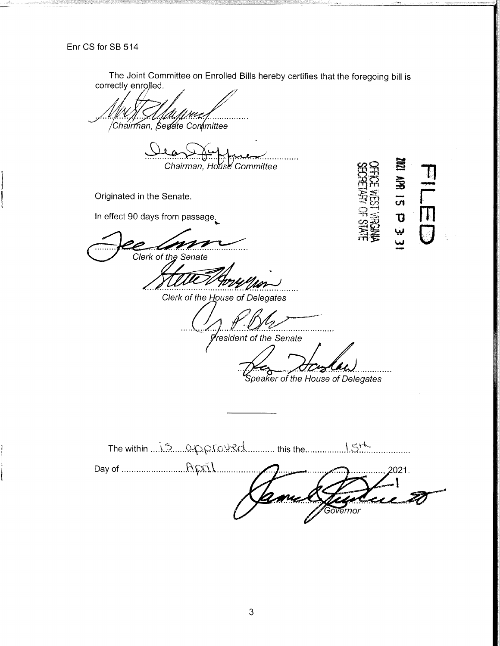The Joint Committee on Enrolled Bills hereby certifies that the foregoing bill is correctly enrolled.

Chairman, Serate Committee

Chairman, House Committee

Originated in the Senate.

In effect 90 days from passage.

Clerk of the Senate

旨  $rac{1}{20}$ <mark>ل</mark><br>پيا

Clerk of the House of Delegates

resident of the Senate

. . . . . .

Speaker of the House of Delegates

. . . . . . . . . . . 2021. Governor